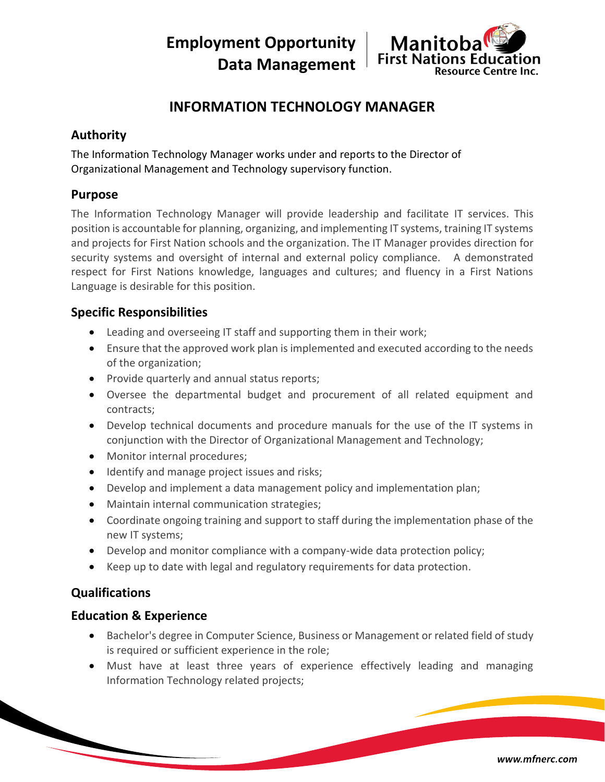**Employment Opportunity Data Management**



# **INFORMATION TECHNOLOGY MANAGER**

## **Authority**

The Information Technology Manager works under and reports to the Director of Organizational Management and Technology supervisory function.

#### **Purpose**

The Information Technology Manager will provide leadership and facilitate IT services. This position is accountable for planning, organizing, and implementing IT systems, training IT systems and projects for First Nation schools and the organization. The IT Manager provides direction for security systems and oversight of internal and external policy compliance. A demonstrated respect for First Nations knowledge, languages and cultures; and fluency in a First Nations Language is desirable for this position.

## **Specific Responsibilities**

- Leading and overseeing IT staff and supporting them in their work;
- Ensure that the approved work plan is implemented and executed according to the needs of the organization;
- Provide quarterly and annual status reports;
- Oversee the departmental budget and procurement of all related equipment and contracts;
- Develop technical documents and procedure manuals for the use of the IT systems in conjunction with the Director of Organizational Management and Technology;
- Monitor internal procedures;
- Identify and manage project issues and risks;
- Develop and implement a data management policy and implementation plan;
- Maintain internal communication strategies;
- Coordinate ongoing training and support to staff during the implementation phase of the new IT systems;
- Develop and monitor compliance with a company-wide data protection policy;
- Keep up to date with legal and regulatory requirements for data protection.

## **Qualifications**

### **Education & Experience**

- Bachelor's degree in Computer Science, Business or Management or related field of study is required or sufficient experience in the role;
- Must have at least three years of experience effectively leading and managing Information Technology related projects;